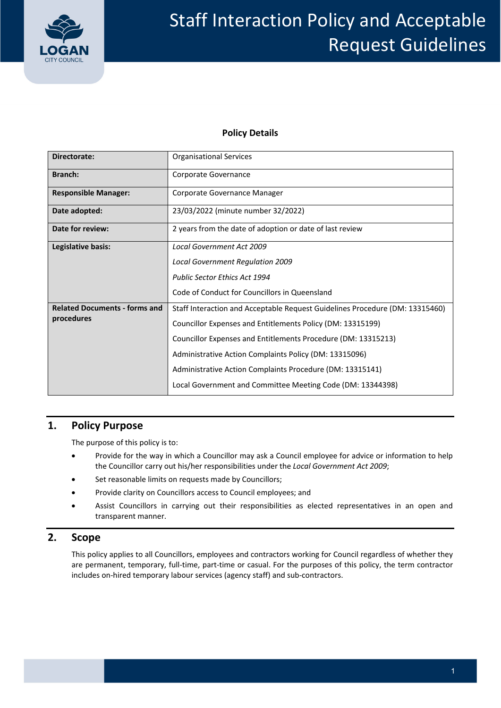

# Staff Interaction Policy and Acceptable Request Guidelines

### **Policy Details**

| Directorate:                                       | <b>Organisational Services</b>                                               |  |  |
|----------------------------------------------------|------------------------------------------------------------------------------|--|--|
| Branch:                                            | Corporate Governance                                                         |  |  |
| <b>Responsible Manager:</b>                        | Corporate Governance Manager                                                 |  |  |
| Date adopted:                                      | 23/03/2022 (minute number 32/2022)                                           |  |  |
| Date for review:                                   | 2 years from the date of adoption or date of last review                     |  |  |
| Legislative basis:                                 | <b>Local Government Act 2009</b>                                             |  |  |
|                                                    | Local Government Regulation 2009                                             |  |  |
|                                                    | <b>Public Sector Ethics Act 1994</b>                                         |  |  |
|                                                    | Code of Conduct for Councillors in Queensland                                |  |  |
| <b>Related Documents - forms and</b><br>procedures | Staff Interaction and Acceptable Request Guidelines Procedure (DM: 13315460) |  |  |
|                                                    | Councillor Expenses and Entitlements Policy (DM: 13315199)                   |  |  |
|                                                    | Councillor Expenses and Entitlements Procedure (DM: 13315213)                |  |  |
|                                                    | Administrative Action Complaints Policy (DM: 13315096)                       |  |  |
|                                                    | Administrative Action Complaints Procedure (DM: 13315141)                    |  |  |
|                                                    | Local Government and Committee Meeting Code (DM: 13344398)                   |  |  |

# **1. Policy Purpose**

The purpose of this policy is to:

- Provide for the way in which a Councillor may ask a Council employee for advice or information to help  the Councillor carry out his/her responsibilities under the *Local Government Act 2009*;
- Set reasonable limits on requests made by Councillors;
- Provide clarity on Councillors access to Council employees; and
- Assist Councillors in carrying out their responsibilities as elected representatives in an open and transparent manner.

## **2. Scope**

 This policy applies to all Councillors, employees and contractors working for Council regardless of whether they are permanent, temporary, full‐time, part‐time or casual. For the purposes of this policy, the term contractor includes on‐hired temporary labour services (agency staff) and sub‐contractors.